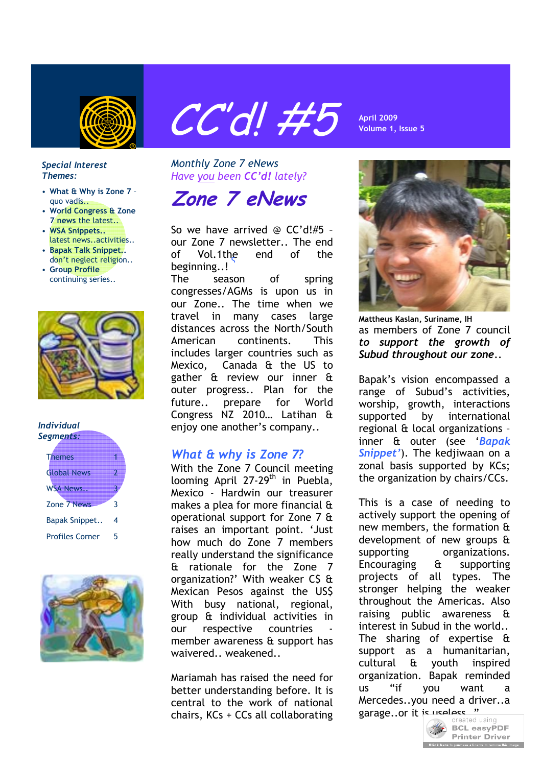

# **April 2009** CC'd! #5 **Volume 1, Issue 5**

#### *Special Interest Themes:*

- **What & Why is Zone 7** quo vadis..
- **World Congress & Zone 7 news** the latest..
- **WSA Snippets..** latest news..activities..
- **Bapak Talk Snippet..** don't neglect religion..
- **Group Profile** continuing series..



#### *Individual Segments:*

| <b>Themes</b>          |   |
|------------------------|---|
| <b>Global News</b>     |   |
| <b>WSA News.</b>       |   |
| Zone 7 News            | ٦ |
| Bapak Snippet          | 4 |
| <b>Profiles Corner</b> | 5 |



*Monthly Zone 7 eNews Have you been CC'd! lately?*

**Zone 7 eNews**

So we have arrived @ CC'd!#5 – our Zone 7 newsletter.. The end of Vol.1the end of the beginning..! Vol.1the

The season of spring congresses/AGMs is upon us in our Zone.. The time when we travel in many cases large distances across the North/South American continents. This includes larger countries such as Mexico, Canada & the US to gather & review our inner & outer progress.. Plan for the future.. prepare for World Congress NZ 2010… Latihan & enjoy one another's company..

# *What & why is Zone 7?*

With the Zone 7 Council meeting looming April 27-29<sup>th</sup> in Puebla, Mexico - Hardwin our treasurer makes a plea for more financial & operational support for Zone 7 & raises an important point. 'Just how much do Zone 7 members really understand the significance & rationale for the Zone 7 organization?' With weaker C\$ & Mexican Pesos against the US\$ With busy national, regional, group & individual activities in our respective countries member awareness & support has waivered weakened

Mariamah has raised the need for better understanding before. It is central to the work of national chairs, KCs + CCs all collaborating



**Mattheus Kaslan, Suriname, IH** as members of Zone 7 council *to support the growth of Subud throughout our zone*..

Bapak's vision encompassed a range of Subud's activities, worship, growth, interactions supported by international regional & local organizations – inner & outer (see '*Bapak Snippet'*). The kedjiwaan on a zonal basis supported by KCs; the organization by chairs/CCs.

This is a case of needing to actively support the opening of new members, the formation & development of new groups & supporting organizations. Encouraging & supporting projects of all types. The stronger helping the weaker throughout the Americas. Also raising public awareness & interest in Subud in the world.. The sharing of expertise & support as a humanitarian, cultural & youth inspired organization. Bapak reminded us "if you want a Mercedes..you need a driver..a garage..or it is useless."

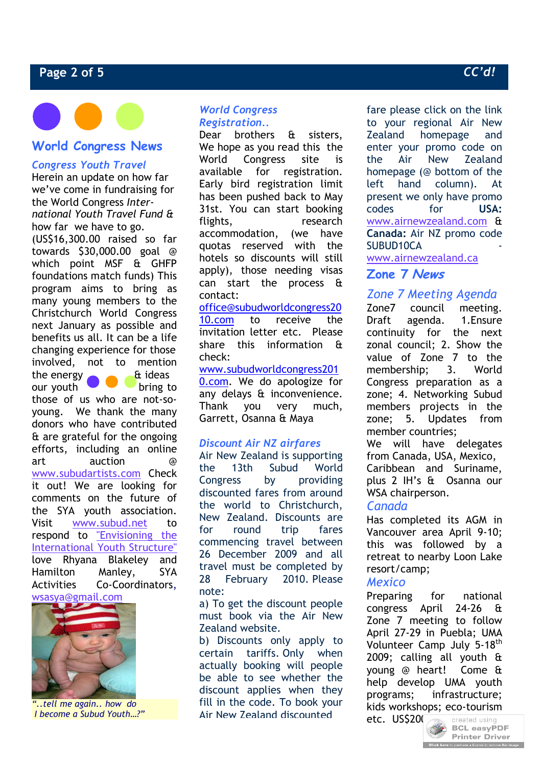# **Page 2 of 5** *CC'd!*

# **World Congress News**

# *Congress Youth Travel*

Herein an update on how far we've come in fundraising for the World Congress *International Youth Travel Fund &* how far we have to go.

(US\$16,300.00 raised so far towards \$30,000.00 goal @ which point MSF & GHFP foundations match funds) This program aims to bring as many young members to the Christchurch World Congress next January as possible and benefits us all. It can be a life changing experience for those involved, not to mention the energy  $\qquad \qquad \text{at ideas}$ 

our youth bring to those of us who are not-soyoung. We thank the many donors who have contributed & are grateful for the ongoing efforts, including an online art auction @ www.subudartists.com Check it out! We are looking for comments on the future of the SYA youth association. Visit www.subud.net to respond to "Envisioning the International Youth Structure" love Rhyana Blakeley and Hamilton Manley, SYA Activities Co-Coordinators, wsasya@gmail.com



*"..tell me again.. how do I become a Subud Youth…?"*

# *World Congress Registration..*

Dear brothers & sisters, We hope as you read this the World Congress site is available for registration. Early bird registration limit has been pushed back to May 31st. You can start booking flights, research accommodation, (we have quotas reserved with the hotels so discounts will still apply), those needing visas can start the process & contact:

office@subudworldcongress20 10.com to receive the invitation letter etc. Please share this information & check:

#### www.subudworldcongress201

0.com. We do apologize for any delays & inconvenience. Thank you very much, Garrett, Osanna & Maya

# *Discount Air NZ airfares*

Air New Zealand is supporting the 13th Subud World Congress by providing discounted fares from around the world to Christchurch, New Zealand. Discounts are for round trip fares commencing travel between 26 December 2009 and all travel must be completed by 28 February 2010. Please note:

a) To get the discount people must book via the Air New Zealand website.

b) Discounts only apply to certain tariffs. Only when actually booking will people be able to see whether the discount applies when they fill in the code. To book your Air New Zealand discounted

fare please click on the link to your regional Air New Zealand homepage and enter your promo code on the Air New Zealand homepage (@ bottom of the left hand column). At present we only have promo codes for **USA:**  www.airnewzealand.com & **Canada:** Air NZ promo code SUBUD10CA

www.airnewzealand.ca

# **Zone 7 News**

# *Zone 7 Meeting Agenda*

Zone7 council meeting. Draft agenda. 1.Ensure continuity for the next zonal council; 2. Show the value of Zone 7 to the membership; 3. World Congress preparation as a zone; 4. Networking Subud members projects in the zone; 5. Updates from member countries;

We will have delegates from Canada, USA, Mexico, Caribbean and Suriname, plus 2 IH's & Osanna our WSA chairperson.

# *Canada*

Has completed its AGM in Vancouver area April 9-10; this was followed by a retreat to nearby Loon Lake resort/camp;

# *Mexico*

Preparing for national congress April 24-26 & Zone 7 meeting to follow April 27-29 in Puebla; UMA Volunteer Camp July 5-18<sup>th</sup> 2009; calling all youth & young @ heart! Come & help develop UMA youth programs; infrastructure; kids workshops; eco-tourism



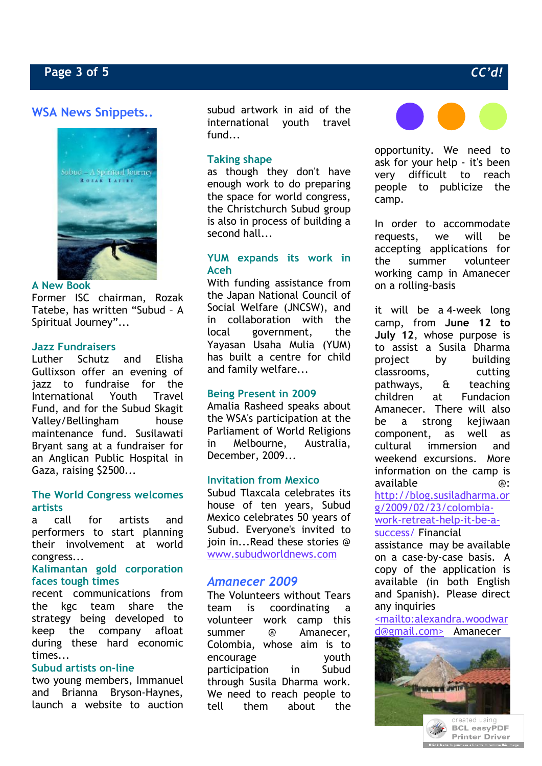# **WSA News Snippets..**



#### **A New Book**

Former ISC chairman, Rozak Tatebe, has written "Subud – A Spiritual Journey"...

#### **Jazz Fundraisers**

Luther Schutz and Elisha Gullixson offer an evening of jazz to fundraise for the International Youth Travel Fund, and for the Subud Skagit Valley/Bellingham house maintenance fund. Susilawati Bryant sang at a fundraiser for an Anglican Public Hospital in Gaza, raising \$2500...

# **The World Congress welcomes artists**

a call for artists and performers to start planning their involvement at world congress...

#### **Kalimantan gold corporation faces tough times**

recent communications from the kgc team share the strategy being developed to keep the company afloat during these hard economic times...

#### **Subud artists on-line**

two young members, Immanuel and Brianna Bryson-Haynes, launch a website to auction

subud artwork in aid of the international youth travel fund...

# **Taking shape**

as though they don't have enough work to do preparing the space for world congress, the Christchurch Subud group is also in process of building a second hall...

# **YUM expands its work in Aceh**

With funding assistance from the Japan National Council of Social Welfare (JNCSW), and in collaboration with the local government, the Yayasan Usaha Mulia (YUM) has built a centre for child and family welfare...

# **Being Present in 2009**

Amalia Rasheed speaks about the WSA's participation at the Parliament of World Religions in Melbourne, Australia, December, 2009...

#### **Invitation from Mexico**

Subud Tlaxcala celebrates its house of ten years, Subud Mexico celebrates 50 years of Subud. Everyone's invited to join in...Read these stories @ www.subudworldnews.com

# *Amanecer 2009*

The Volunteers without Tears team is coordinating a volunteer work camp this summer @ Amanecer, Colombia, whose aim is to encourage youth participation in Subud through Susila Dharma work. We need to reach people to tell them about the



opportunity. We need to ask for your help - it's been very difficult to reach people to publicize the camp.

In order to accommodate requests, we will be accepting applications for the summer volunteer working camp in Amanecer on a rolling-basis

it will be a 4-week long camp, from **June 12 to July 12**, whose purpose is to assist a Susila Dharma project by building classrooms, cutting pathways, & teaching children at Fundacion Amanecer. There will also be a strong kejiwaan component, as well as cultural immersion and weekend excursions. More information on the camp is available @: http://blog.susiladharma.or g/2009/02/23/colombiawork-retreat-help-it-be-asuccess/ Financial

assistance may be available on a case-by-case basis. A copy of the application is available (in both English and Spanish). Please direct any inquiries

<mailto:alexandra.woodwar d@gmail.com> Amanecer

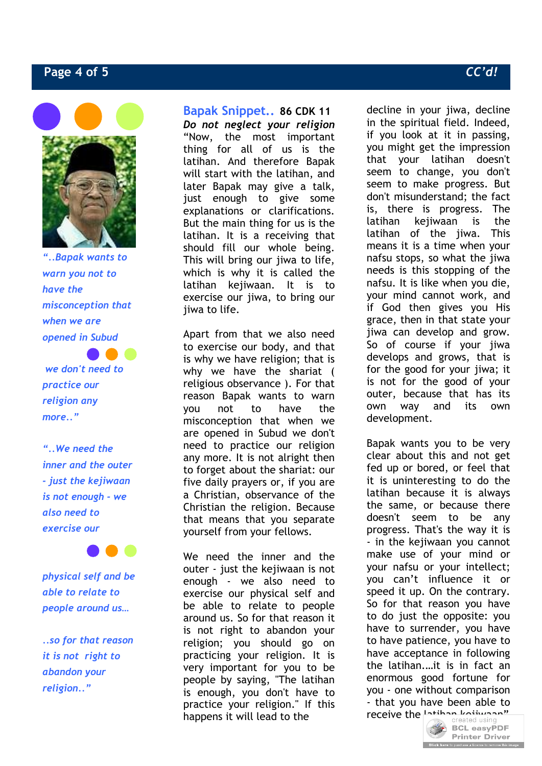# **Page 4 of 5** *CC'd!*



*"..Bapak wants to warn you not to have the misconception that when we are opened in Subud*

 *we don't need to practice our religion any more.."*

*"..We need the inner and the outer - just the kejiwaan is not enough - we also need to exercise our* 

*physical self and be able to relate to people around us…* 

*..so for that reason it is not right to abandon your religion.."*

**Bapak Snippet.. 86 CDK 11** *Do not neglect your religion* "Now, the most important thing for all of us is the latihan. And therefore Bapak will start with the latihan, and later Bapak may give a talk, just enough to give some explanations or clarifications. But the main thing for us is the latihan. It is a receiving that should fill our whole being. This will bring our jiwa to life, which is why it is called the latihan kejiwaan. It is to exercise our jiwa, to bring our jiwa to life.

Apart from that we also need to exercise our body, and that is why we have religion; that is why we have the shariat ( religious observance ). For that reason Bapak wants to warn you not to have the misconception that when we are opened in Subud we don't need to practice our religion any more. It is not alright then to forget about the shariat: our five daily prayers or, if you are a Christian, observance of the Christian the religion. Because that means that you separate yourself from your fellows.

We need the inner and the outer - just the kejiwaan is not enough - we also need to exercise our physical self and be able to relate to people around us. So for that reason it is not right to abandon your religion; you should go on practicing your religion. It is very important for you to be people by saying, "The latihan is enough, you don't have to practice your religion." If this happens it will lead to the

decline in your jiwa, decline in the spiritual field. Indeed, if you look at it in passing, you might get the impression that your latihan doesn't seem to change, you don't seem to make progress. But don't misunderstand; the fact is, there is progress. The latihan kejiwaan is the latihan of the jiwa. This means it is a time when your nafsu stops, so what the jiwa needs is this stopping of the nafsu. It is like when you die, your mind cannot work, and if God then gives you His grace, then in that state your jiwa can develop and grow. So of course if your jiwa develops and grows, that is for the good for your jiwa; it is not for the good of your outer, because that has its own way and its own development.

Bapak wants you to be very clear about this and not get fed up or bored, or feel that it is uninteresting to do the latihan because it is always the same, or because there doesn't seem to be any progress. That's the way it is - in the kejiwaan you cannot make use of your mind or your nafsu or your intellect; you can't influence it or speed it up. On the contrary. So for that reason you have to do just the opposite: you have to surrender, you have to have patience, you have to have acceptance in following the latihan.…it is in fact an enormous good fortune for you - one without comparison - that you have been able to

receive the  $\frac{1 \text{ times } n}{\text{created using}}$